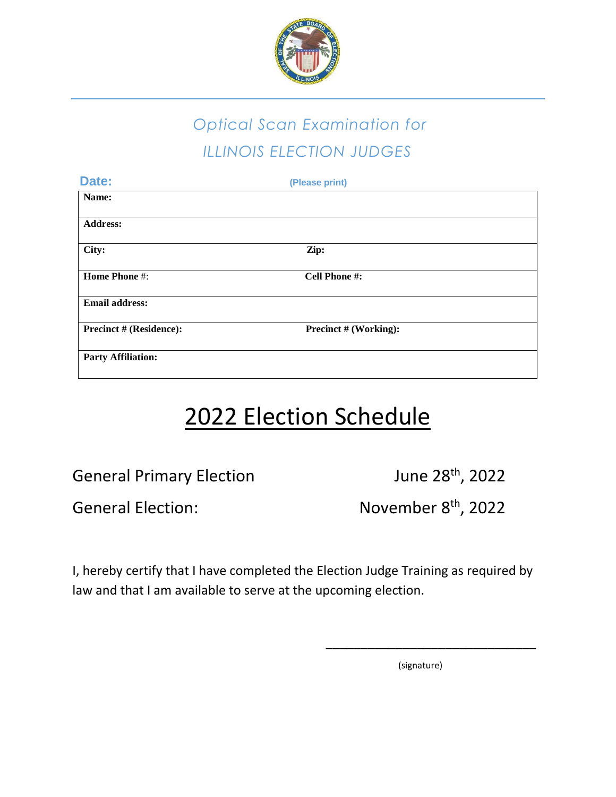

## *Optical Scan Examination for ILLINOIS ELECTION JUDGES*

| Date:                          | (Please print)               |  |
|--------------------------------|------------------------------|--|
| Name:                          |                              |  |
| <b>Address:</b>                |                              |  |
| City:                          | Zip:                         |  |
| <b>Home Phone #:</b>           | <b>Cell Phone #:</b>         |  |
| <b>Email address:</b>          |                              |  |
| <b>Precinct # (Residence):</b> | <b>Precinct # (Working):</b> |  |
| <b>Party Affiliation:</b>      |                              |  |

## 2022 Election Schedule

General Primary Election June 28<sup>th</sup>, 2022

General Election:

November 8<sup>th</sup>, 2022

I, hereby certify that I have completed the Election Judge Training as required by law and that I am available to serve at the upcoming election.

(signature)

\_\_\_\_\_\_\_\_\_\_\_\_\_\_\_\_\_\_\_\_\_\_\_\_\_\_\_\_\_\_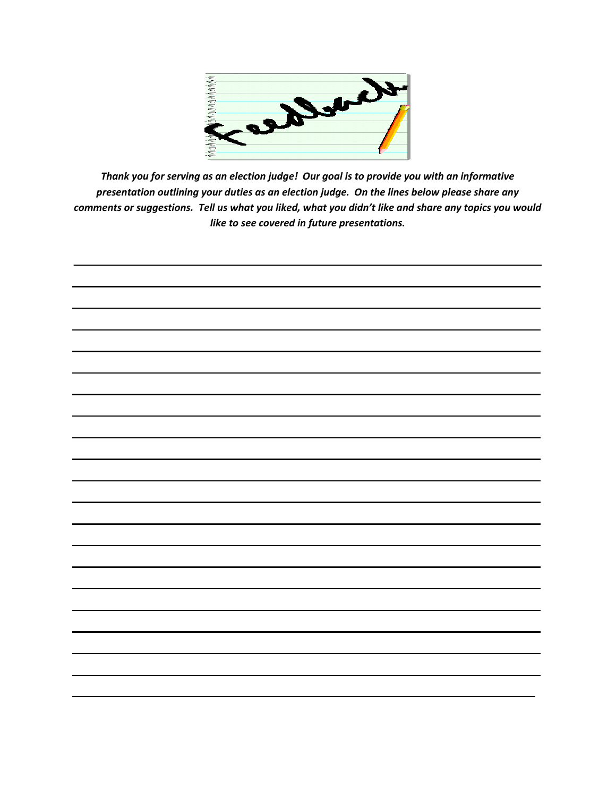

Thank you for serving as an election judge! Our goal is to provide you with an informative presentation outlining your duties as an election judge. On the lines below please share any comments or suggestions. Tell us what you liked, what you didn't like and share any topics you would like to see covered in future presentations.

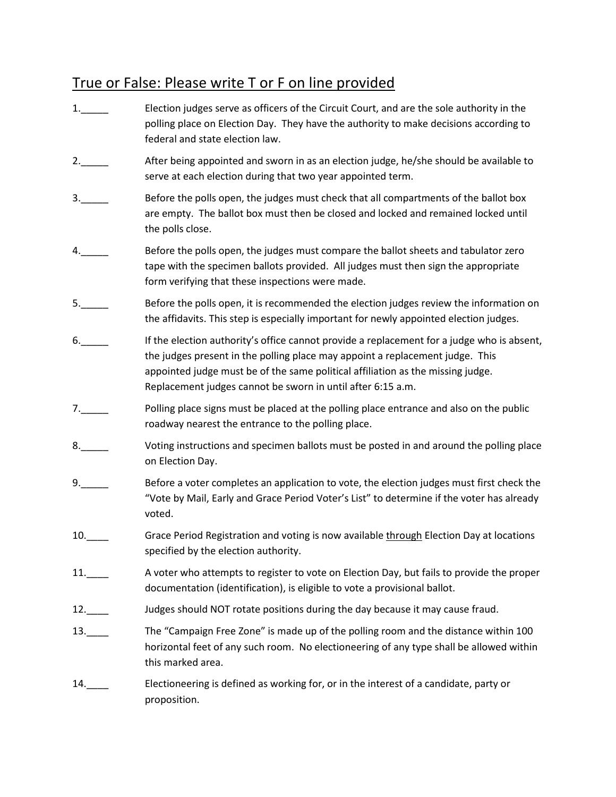## True or False: Please write T or F on line provided

1.\_\_\_\_\_ Election judges serve as officers of the Circuit Court, and are the sole authority in the polling place on Election Day. They have the authority to make decisions according to federal and state election law. 2.\_\_\_\_\_ After being appointed and sworn in as an election judge, he/she should be available to serve at each election during that two year appointed term. 3.\_\_\_\_\_ Before the polls open, the judges must check that all compartments of the ballot box are empty. The ballot box must then be closed and locked and remained locked until the polls close. 4. **Example 3 Before the polls open, the judges must compare the ballot sheets and tabulator zero** tape with the specimen ballots provided. All judges must then sign the appropriate form verifying that these inspections were made. 5.\_\_\_\_\_\_ Before the polls open, it is recommended the election judges review the information on the affidavits. This step is especially important for newly appointed election judges. 6.\_\_\_\_\_ If the election authority's office cannot provide a replacement for a judge who is absent, the judges present in the polling place may appoint a replacement judge. This appointed judge must be of the same political affiliation as the missing judge. Replacement judges cannot be sworn in until after 6:15 a.m. 7.\_\_\_\_\_ Polling place signs must be placed at the polling place entrance and also on the public roadway nearest the entrance to the polling place. 8. Voting instructions and specimen ballots must be posted in and around the polling place on Election Day. 9.\_\_\_\_\_ Before a voter completes an application to vote, the election judges must first check the "Vote by Mail, Early and Grace Period Voter's List" to determine if the voter has already voted. 10.\_\_\_\_ Grace Period Registration and voting is now available through Election Day at locations specified by the election authority. 11.\_\_\_\_ A voter who attempts to register to vote on Election Day, but fails to provide the proper documentation (identification), is eligible to vote a provisional ballot. 12.\_\_\_\_ Judges should NOT rotate positions during the day because it may cause fraud. 13. The "Campaign Free Zone" is made up of the polling room and the distance within 100 horizontal feet of any such room. No electioneering of any type shall be allowed within this marked area. 14.\_\_\_\_ Electioneering is defined as working for, or in the interest of a candidate, party or proposition.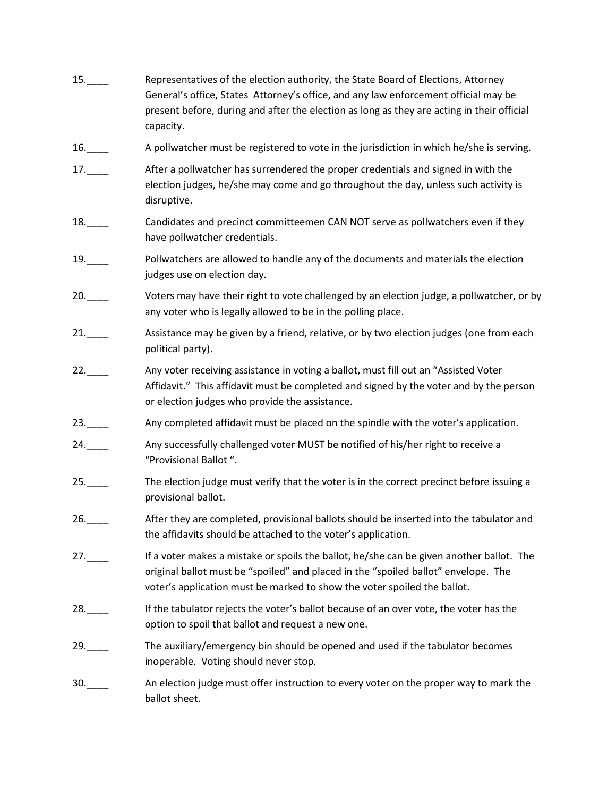15.\_\_\_\_ Representatives of the election authority, the State Board of Elections, Attorney General's office, States Attorney's office, and any law enforcement official may be present before, during and after the election as long as they are acting in their official capacity. 16. A pollwatcher must be registered to vote in the jurisdiction in which he/she is serving. 17.\_\_\_\_ After a pollwatcher has surrendered the proper credentials and signed in with the election judges, he/she may come and go throughout the day, unless such activity is disruptive. 18. Candidates and precinct committeemen CAN NOT serve as pollwatchers even if they have pollwatcher credentials. 19.\_\_\_\_ Pollwatchers are allowed to handle any of the documents and materials the election judges use on election day. 20.\_\_\_\_ Voters may have their right to vote challenged by an election judge, a pollwatcher, or by any voter who is legally allowed to be in the polling place. 21. Assistance may be given by a friend, relative, or by two election judges (one from each political party). 22. Any voter receiving assistance in voting a ballot, must fill out an "Assisted Voter Affidavit." This affidavit must be completed and signed by the voter and by the person or election judges who provide the assistance. 23.\_\_\_\_ Any completed affidavit must be placed on the spindle with the voter's application. 24.\_\_\_\_ Any successfully challenged voter MUST be notified of his/her right to receive a "Provisional Ballot ". 25. The election judge must verify that the voter is in the correct precinct before issuing a provisional ballot. 26.\_\_\_\_ After they are completed, provisional ballots should be inserted into the tabulator and the affidavits should be attached to the voter's application. 27.\_\_\_\_ If a voter makes a mistake or spoils the ballot, he/she can be given another ballot. The original ballot must be "spoiled" and placed in the "spoiled ballot" envelope. The voter's application must be marked to show the voter spoiled the ballot. 28.\_\_\_\_ If the tabulator rejects the voter's ballot because of an over vote, the voter has the option to spoil that ballot and request a new one. 29. The auxiliary/emergency bin should be opened and used if the tabulator becomes inoperable. Voting should never stop. 30.\_\_\_\_ An election judge must offer instruction to every voter on the proper way to mark the ballot sheet.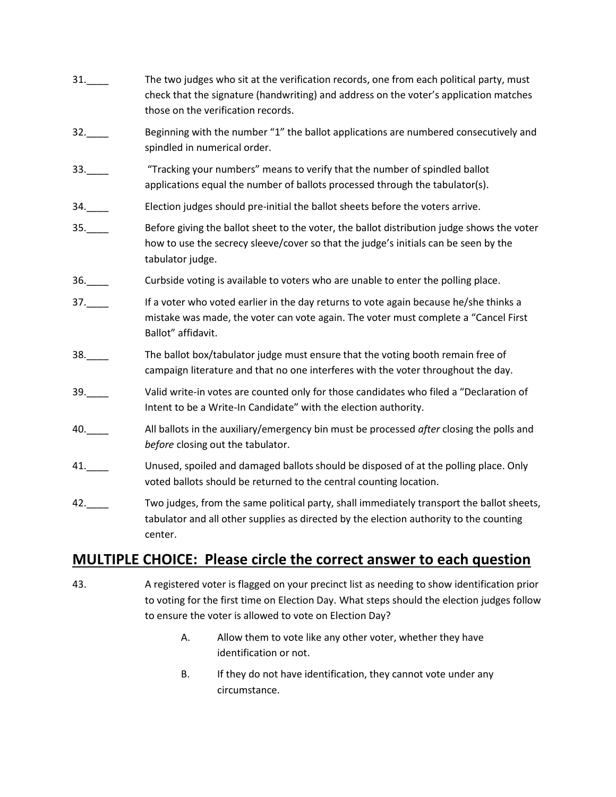- 31.\_\_\_\_ The two judges who sit at the verification records, one from each political party, must check that the signature (handwriting) and address on the voter's application matches those on the verification records. 32.\_\_\_\_ Beginning with the number "1" the ballot applications are numbered consecutively and spindled in numerical order. 33. Tracking your numbers" means to verify that the number of spindled ballot applications equal the number of ballots processed through the tabulator(s). 34.\_\_\_\_ Election judges should pre-initial the ballot sheets before the voters arrive. 35.\_\_\_\_ Before giving the ballot sheet to the voter, the ballot distribution judge shows the voter how to use the secrecy sleeve/cover so that the judge's initials can be seen by the tabulator judge. 36.\_\_\_\_ Curbside voting is available to voters who are unable to enter the polling place. 37.\_\_\_\_ If a voter who voted earlier in the day returns to vote again because he/she thinks a mistake was made, the voter can vote again. The voter must complete a "Cancel First Ballot" affidavit. 38.\_\_\_\_ The ballot box/tabulator judge must ensure that the voting booth remain free of campaign literature and that no one interferes with the voter throughout the day. 39.\_\_\_\_ Valid write-in votes are counted only for those candidates who filed a "Declaration of Intent to be a Write-In Candidate" with the election authority. 40.\_\_\_\_ All ballots in the auxiliary/emergency bin must be processed *after* closing the polls and *before* closing out the tabulator. 41. Unused, spoiled and damaged ballots should be disposed of at the polling place. Only voted ballots should be returned to the central counting location. 42.\_\_\_\_ Two judges, from the same political party, shall immediately transport the ballot sheets,
- tabulator and all other supplies as directed by the election authority to the counting center.

## **MULTIPLE CHOICE: Please circle the correct answer to each question**

- 43. A registered voter is flagged on your precinct list as needing to show identification prior to voting for the first time on Election Day. What steps should the election judges follow to ensure the voter is allowed to vote on Election Day?
	- A. Allow them to vote like any other voter, whether they have identification or not.
	- B. If they do not have identification, they cannot vote under any circumstance.